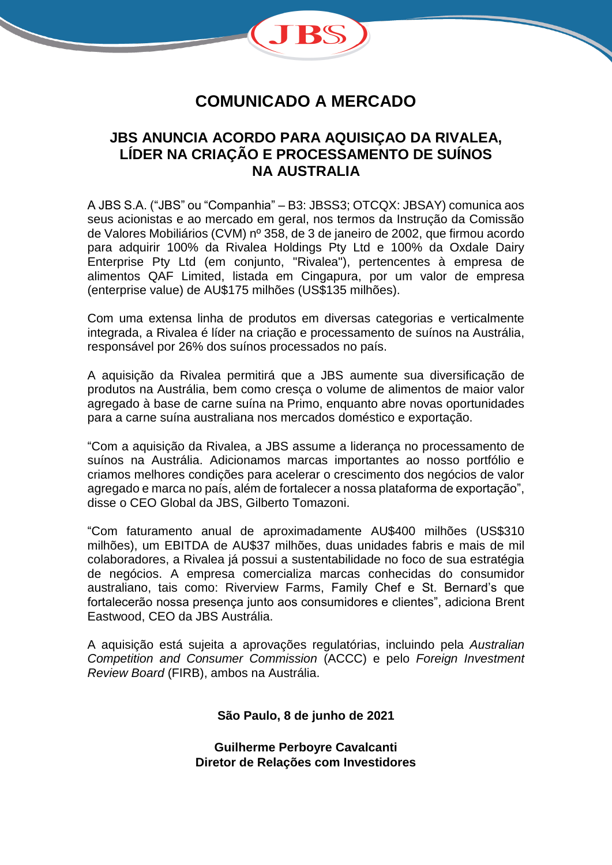

## **COMUNICADO A MERCADO**

## **JBS ANUNCIA ACORDO PARA AQUISIÇAO DA RIVALEA, LÍDER NA CRIAÇÃO E PROCESSAMENTO DE SUÍNOS NA AUSTRALIA**

A JBS S.A. ("JBS" ou "Companhia" – B3: JBSS3; OTCQX: JBSAY) comunica aos seus acionistas e ao mercado em geral, nos termos da Instrução da Comissão de Valores Mobiliários (CVM) nº 358, de 3 de janeiro de 2002, que firmou acordo para adquirir 100% da Rivalea Holdings Pty Ltd e 100% da Oxdale Dairy Enterprise Pty Ltd (em conjunto, "Rivalea"), pertencentes à empresa de alimentos QAF Limited, listada em Cingapura, por um valor de empresa (enterprise value) de AU\$175 milhões (US\$135 milhões).

Com uma extensa linha de produtos em diversas categorias e verticalmente integrada, a Rivalea é líder na criação e processamento de suínos na Austrália, responsável por 26% dos suínos processados no país.

A aquisição da Rivalea permitirá que a JBS aumente sua diversificação de produtos na Austrália, bem como cresça o volume de alimentos de maior valor agregado à base de carne suína na Primo, enquanto abre novas oportunidades para a carne suína australiana nos mercados doméstico e exportação.

"Com a aquisição da Rivalea, a JBS assume a liderança no processamento de suínos na Austrália. Adicionamos marcas importantes ao nosso portfólio e criamos melhores condições para acelerar o crescimento dos negócios de valor agregado e marca no país, além de fortalecer a nossa plataforma de exportação", disse o CEO Global da JBS, Gilberto Tomazoni.

"Com faturamento anual de aproximadamente AU\$400 milhões (US\$310 milhões), um EBITDA de AU\$37 milhões, duas unidades fabris e mais de mil colaboradores, a Rivalea já possui a sustentabilidade no foco de sua estratégia de negócios. A empresa comercializa marcas conhecidas do consumidor australiano, tais como: Riverview Farms, Family Chef e St. Bernard's que fortalecerão nossa presença junto aos consumidores e clientes", adiciona Brent Eastwood, CEO da JBS Austrália.

A aquisição está sujeita a aprovações regulatórias, incluindo pela *Australian Competition and Consumer Commission* (ACCC) e pelo *Foreign Investment Review Board* (FIRB), ambos na Austrália.

#### **São Paulo, 8 de junho de 2021**

**Guilherme Perboyre Cavalcanti Diretor de Relações com Investidores**